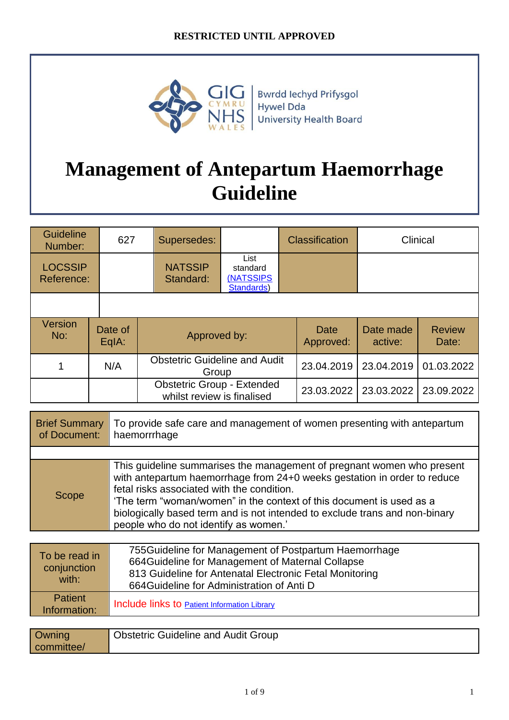

Bwrdd Iechyd Prifysgol Hywel Dda University Health Board

# **Management of Antepartum Haemorrhage Guideline**

| <b>Guideline</b><br>Number:  | 627              |  | Supersedes:                                                     |                                             | <b>Classification</b> | Clinical             |                        |
|------------------------------|------------------|--|-----------------------------------------------------------------|---------------------------------------------|-----------------------|----------------------|------------------------|
| <b>LOCSSIP</b><br>Reference: |                  |  | <b>NATSSIP</b><br>Standard:                                     | List<br>standard<br>(NATSSIPS<br>Standards) |                       |                      |                        |
|                              |                  |  |                                                                 |                                             |                       |                      |                        |
| Version<br>No:               | Date of<br>EqIA: |  | Approved by:                                                    |                                             | Date<br>Approved:     | Date made<br>active: | <b>Review</b><br>Date: |
|                              | N/A              |  | <b>Obstetric Guideline and Audit</b><br>Group                   |                                             | 23.04.2019            | 23.04.2019           | 01.03.2022             |
|                              |                  |  | <b>Obstetric Group - Extended</b><br>whilst review is finalised |                                             | 23.03.2022            | 23.03.2022           | 23.09.2022             |

| <b>Brief Summary</b><br>of Document: | To provide safe care and management of women presenting with antepartum<br>haemorrrhage                                                                                                                                                                                                                                                                                                          |  |  |
|--------------------------------------|--------------------------------------------------------------------------------------------------------------------------------------------------------------------------------------------------------------------------------------------------------------------------------------------------------------------------------------------------------------------------------------------------|--|--|
|                                      |                                                                                                                                                                                                                                                                                                                                                                                                  |  |  |
| Scope                                | This guideline summarises the management of pregnant women who present<br>with antepartum haemorrhage from 24+0 weeks gestation in order to reduce<br>fetal risks associated with the condition.<br>'The term "woman/women" in the context of this document is used as a<br>biologically based term and is not intended to exclude trans and non-binary<br>people who do not identify as women.' |  |  |

| To be read in<br>conjunction<br>with: | 755 Guideline for Management of Postpartum Haemorrhage<br>664 Guideline for Management of Maternal Collapse<br>813 Guideline for Antenatal Electronic Fetal Monitoring<br>664 Guideline for Administration of Anti D |
|---------------------------------------|----------------------------------------------------------------------------------------------------------------------------------------------------------------------------------------------------------------------|
| <b>Patient</b><br>Information:        | Include links to <b>Patient Information Library</b>                                                                                                                                                                  |

| <b>Owning</b> | <b>Obstetric Guideline and Audit Group</b> |
|---------------|--------------------------------------------|
| committee/    |                                            |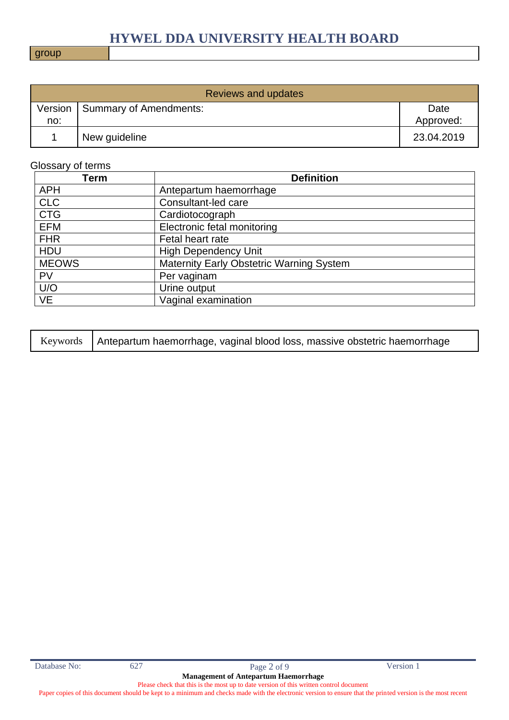#### group

| <b>Reviews and updates</b> |                        |                   |  |
|----------------------------|------------------------|-------------------|--|
| Version<br>no:             | Summary of Amendments: | Date<br>Approved: |  |
|                            | New guideline          | 23.04.2019        |  |

#### Glossary of terms

| Term         | <b>Definition</b>                               |
|--------------|-------------------------------------------------|
| <b>APH</b>   | Antepartum haemorrhage                          |
| <b>CLC</b>   | Consultant-led care                             |
| <b>CTG</b>   | Cardiotocograph                                 |
| <b>EFM</b>   | Electronic fetal monitoring                     |
| <b>FHR</b>   | Fetal heart rate                                |
| <b>HDU</b>   | <b>High Dependency Unit</b>                     |
| <b>MEOWS</b> | <b>Maternity Early Obstetric Warning System</b> |
| <b>PV</b>    | Per vaginam                                     |
| U/O          | Urine output                                    |
| <b>VE</b>    | Vaginal examination                             |

| Keywords   Antepartum haemorrhage, vaginal blood loss, massive obstetric haemorrhage |
|--------------------------------------------------------------------------------------|
|--------------------------------------------------------------------------------------|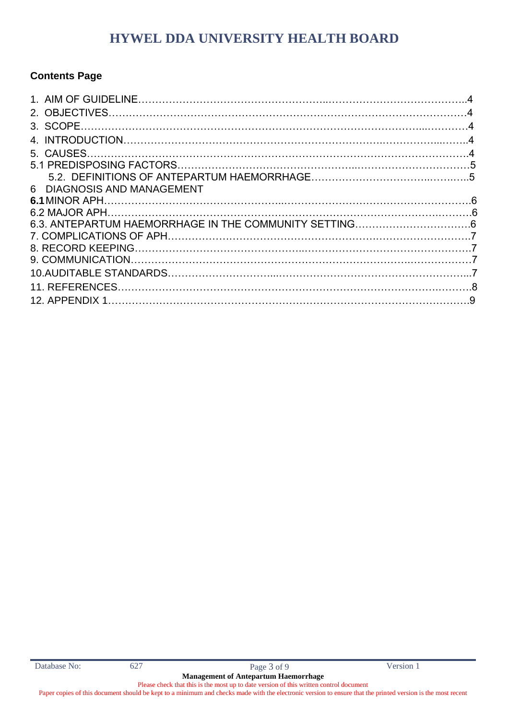### **Contents Page**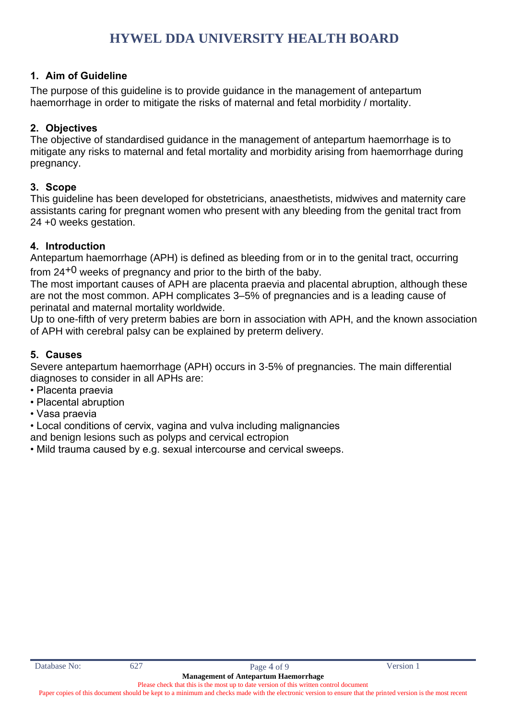#### **1. Aim of Guideline**

The purpose of this guideline is to provide guidance in the management of antepartum haemorrhage in order to mitigate the risks of maternal and fetal morbidity / mortality.

#### **2. Objectives**

The objective of standardised guidance in the management of antepartum haemorrhage is to mitigate any risks to maternal and fetal mortality and morbidity arising from haemorrhage during pregnancy.

#### **3. Scope**

This guideline has been developed for obstetricians, anaesthetists, midwives and maternity care assistants caring for pregnant women who present with any bleeding from the genital tract from 24 +0 weeks gestation.

#### **4. Introduction**

Antepartum haemorrhage (APH) is defined as bleeding from or in to the genital tract, occurring from  $24^{+0}$  weeks of pregnancy and prior to the birth of the baby.

The most important causes of APH are placenta praevia and placental abruption, although these are not the most common. APH complicates 3–5% of pregnancies and is a leading cause of perinatal and maternal mortality worldwide.

Up to one-fifth of very preterm babies are born in association with APH, and the known association of APH with cerebral palsy can be explained by preterm delivery.

#### **5. Causes**

Severe antepartum haemorrhage (APH) occurs in 3-5% of pregnancies. The main differential diagnoses to consider in all APHs are:

- Placenta praevia
- Placental abruption
- Vasa praevia
- Local conditions of cervix, vagina and vulva including malignancies

and benign lesions such as polyps and cervical ectropion

• Mild trauma caused by e.g. sexual intercourse and cervical sweeps.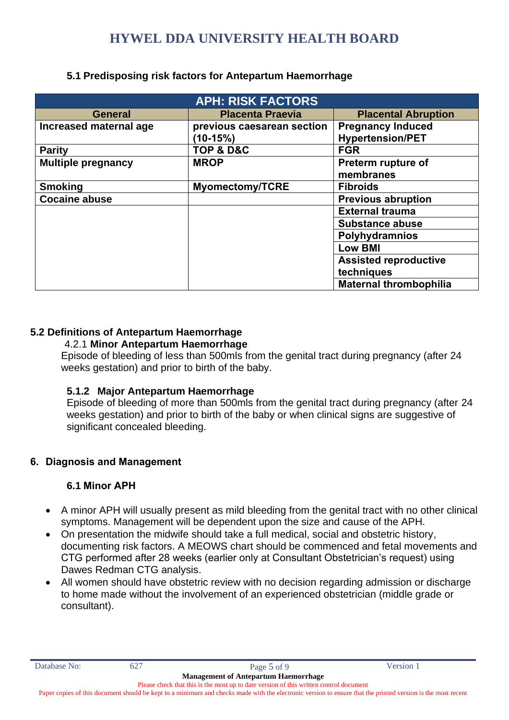| <b>APH: RISK FACTORS</b>  |                                          |                                                     |  |  |
|---------------------------|------------------------------------------|-----------------------------------------------------|--|--|
| <b>General</b>            | <b>Placenta Praevia</b>                  | <b>Placental Abruption</b>                          |  |  |
| Increased maternal age    | previous caesarean section<br>$(10-15%)$ | <b>Pregnancy Induced</b><br><b>Hypertension/PET</b> |  |  |
| <b>Parity</b>             | TOP & D&C                                | <b>FGR</b>                                          |  |  |
| <b>Multiple pregnancy</b> | <b>MROP</b>                              | Preterm rupture of<br>membranes                     |  |  |
| <b>Smoking</b>            | <b>Myomectomy/TCRE</b>                   | <b>Fibroids</b>                                     |  |  |
| <b>Cocaine abuse</b>      |                                          | <b>Previous abruption</b>                           |  |  |
|                           |                                          | <b>External trauma</b>                              |  |  |
|                           |                                          | <b>Substance abuse</b>                              |  |  |
|                           |                                          | Polyhydramnios                                      |  |  |
|                           |                                          | <b>Low BMI</b>                                      |  |  |
|                           |                                          | <b>Assisted reproductive</b>                        |  |  |
|                           |                                          | techniques                                          |  |  |
|                           |                                          | <b>Maternal thrombophilia</b>                       |  |  |

#### **5.1 Predisposing risk factors for Antepartum Haemorrhage**

#### **5.2 Definitions of Antepartum Haemorrhage**

#### 4.2.1 **Minor Antepartum Haemorrhage**

Episode of bleeding of less than 500mls from the genital tract during pregnancy (after 24 weeks gestation) and prior to birth of the baby.

#### **5.1.2 Major Antepartum Haemorrhage**

Episode of bleeding of more than 500mls from the genital tract during pregnancy (after 24 weeks gestation) and prior to birth of the baby or when clinical signs are suggestive of significant concealed bleeding.

### **6. Diagnosis and Management**

### **6.1 Minor APH**

- A minor APH will usually present as mild bleeding from the genital tract with no other clinical symptoms. Management will be dependent upon the size and cause of the APH.
- On presentation the midwife should take a full medical, social and obstetric history, documenting risk factors. A MEOWS chart should be commenced and fetal movements and CTG performed after 28 weeks (earlier only at Consultant Obstetrician's request) using Dawes Redman CTG analysis.
- All women should have obstetric review with no decision regarding admission or discharge to home made without the involvement of an experienced obstetrician (middle grade or consultant).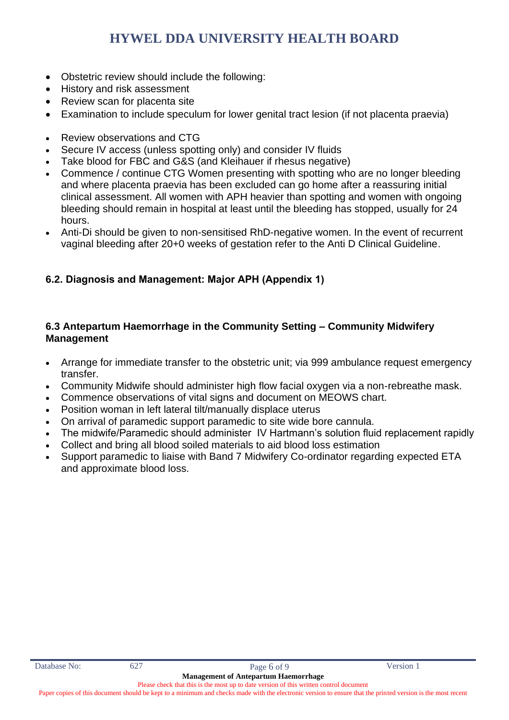- Obstetric review should include the following:
- History and risk assessment
- Review scan for placenta site
- Examination to include speculum for lower genital tract lesion (if not placenta praevia)
- Review observations and CTG
- Secure IV access (unless spotting only) and consider IV fluids
- Take blood for FBC and G&S (and Kleihauer if rhesus negative)
- Commence / continue CTG Women presenting with spotting who are no longer bleeding and where placenta praevia has been excluded can go home after a reassuring initial clinical assessment. All women with APH heavier than spotting and women with ongoing bleeding should remain in hospital at least until the bleeding has stopped, usually for 24 hours.
- Anti-Di should be given to non-sensitised RhD-negative women. In the event of recurrent vaginal bleeding after 20+0 weeks of gestation refer to the Anti D Clinical Guideline.

#### **6.2. Diagnosis and Management: Major APH (Appendix 1)**

#### **6.3 Antepartum Haemorrhage in the Community Setting – Community Midwifery Management**

- Arrange for immediate transfer to the obstetric unit; via 999 ambulance request emergency transfer.
- Community Midwife should administer high flow facial oxygen via a non-rebreathe mask.
- Commence observations of vital signs and document on MEOWS chart.
- Position woman in left lateral tilt/manually displace uterus
- On arrival of paramedic support paramedic to site wide bore cannula.
- The midwife/Paramedic should administer IV Hartmann's solution fluid replacement rapidly
- Collect and bring all blood soiled materials to aid blood loss estimation
- Support paramedic to liaise with Band 7 Midwifery Co-ordinator regarding expected ETA and approximate blood loss.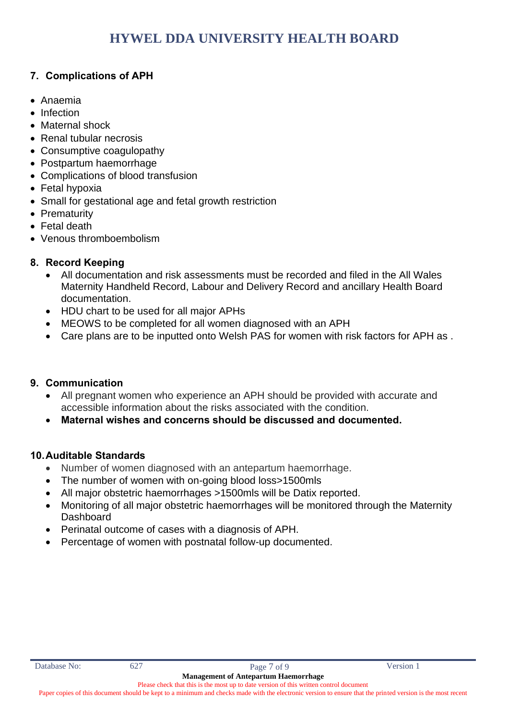#### **7. Complications of APH**

- Anaemia
- Infection
- Maternal shock
- Renal tubular necrosis
- Consumptive coagulopathy
- Postpartum haemorrhage
- Complications of blood transfusion
- Fetal hypoxia
- Small for gestational age and fetal growth restriction
- Prematurity
- Fetal death
- Venous thromboembolism

### **8. Record Keeping**

- All documentation and risk assessments must be recorded and filed in the All Wales Maternity Handheld Record, Labour and Delivery Record and ancillary Health Board documentation.
- HDU chart to be used for all major APHs
- MEOWS to be completed for all women diagnosed with an APH
- Care plans are to be inputted onto Welsh PAS for women with risk factors for APH as .

#### **9. Communication**

- All pregnant women who experience an APH should be provided with accurate and accessible information about the risks associated with the condition.
- **Maternal wishes and concerns should be discussed and documented.**

#### **10.Auditable Standards**

- Number of women diagnosed with an antepartum haemorrhage.
- The number of women with on-going blood loss>1500mls
- All major obstetric haemorrhages >1500mls will be Datix reported.
- Monitoring of all major obstetric haemorrhages will be monitored through the Maternity **Dashboard**
- Perinatal outcome of cases with a diagnosis of APH.
- Percentage of women with postnatal follow-up documented.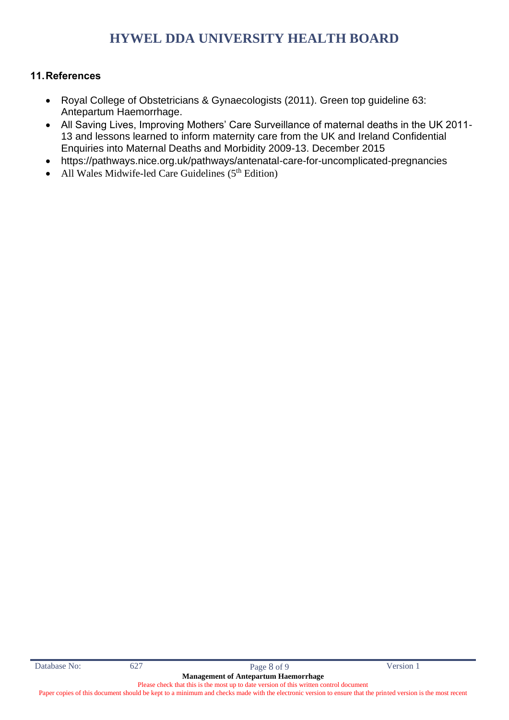#### **11.References**

- Royal College of Obstetricians & Gynaecologists (2011). Green top guideline 63: Antepartum Haemorrhage.
- All Saving Lives, Improving Mothers' Care Surveillance of maternal deaths in the UK 2011- 13 and lessons learned to inform maternity care from the UK and Ireland Confidential Enquiries into Maternal Deaths and Morbidity 2009-13. December 2015
- https://pathways.nice.org.uk/pathways/antenatal-care-for-uncomplicated-pregnancies
- All Wales Midwife-led Care Guidelines  $(5<sup>th</sup> Edition)$